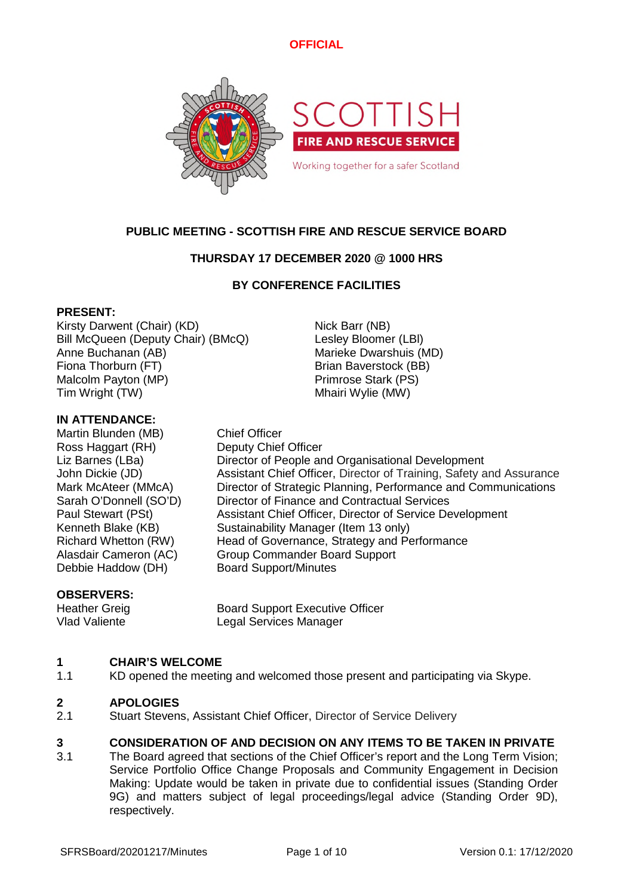

# **PUBLIC MEETING - SCOTTISH FIRE AND RESCUE SERVICE BOARD**

# **THURSDAY 17 DECEMBER 2020 @ 1000 HRS**

# **BY CONFERENCE FACILITIES**

## **PRESENT:**

Kirsty Darwent (Chair) (KD) Nick Barr (NB) Bill McQueen (Deputy Chair) (BMcQ) Lesley Bloomer (LBl) Anne Buchanan (AB) Marieke Dwarshuis (MD) Fiona Thorburn (FT) Brian Baverstock (BB) Malcolm Payton (MP) example a primrose Stark (PS) Tim Wright (TW) Tim Wright (TW)

## **IN ATTENDANCE:**

Martin Blunden (MB) Chief Officer Ross Haggart (RH) Deputy Chief Officer Debbie Haddow (DH) Board Support/Minutes

Liz Barnes (LBa) Director of People and Organisational Development John Dickie (JD) Assistant Chief Officer, Director of Training, Safety and Assurance Mark McAteer (MMcA) Director of Strategic Planning, Performance and Communications Sarah O'Donnell (SO'D) Director of Finance and Contractual Services Paul Stewart (PSt) Assistant Chief Officer, Director of Service Development Kenneth Blake (KB) Sustainability Manager (Item 13 only) Richard Whetton (RW) Head of Governance, Strategy and Performance Alasdair Cameron (AC) Group Commander Board Support

### **OBSERVERS:**

Heather Greig Board Support Executive Officer Vlad Valiente Legal Services Manager

### **1 CHAIR'S WELCOME**

1.1 KD opened the meeting and welcomed those present and participating via Skype.

#### **2 APOLOGIES**

2.1 Stuart Stevens, Assistant Chief Officer, Director of Service Delivery

### **3 CONSIDERATION OF AND DECISION ON ANY ITEMS TO BE TAKEN IN PRIVATE**

3.1 The Board agreed that sections of the Chief Officer's report and the Long Term Vision; Service Portfolio Office Change Proposals and Community Engagement in Decision Making: Update would be taken in private due to confidential issues (Standing Order 9G) and matters subject of legal proceedings/legal advice (Standing Order 9D), respectively.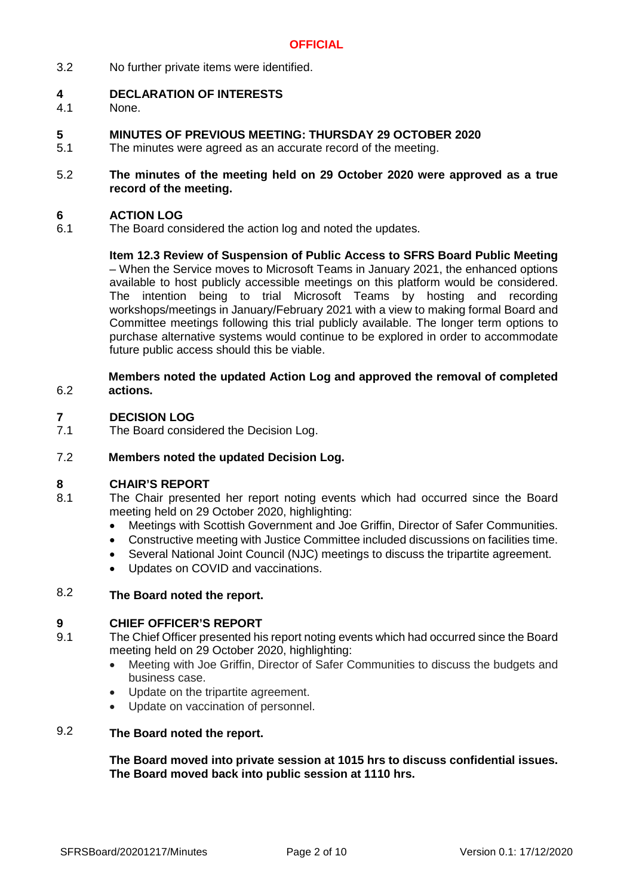3.2 No further private items were identified.

#### **4 DECLARATION OF INTERESTS**

- 4.1 None.
- **5 MINUTES OF PREVIOUS MEETING: THURSDAY 29 OCTOBER 2020**
- 5.1 The minutes were agreed as an accurate record of the meeting.
- 5.2 **The minutes of the meeting held on 29 October 2020 were approved as a true record of the meeting.**

#### **6 ACTION LOG**

6.1 The Board considered the action log and noted the updates.

> **Item 12.3 Review of Suspension of Public Access to SFRS Board Public Meeting** – When the Service moves to Microsoft Teams in January 2021, the enhanced options available to host publicly accessible meetings on this platform would be considered. The intention being to trial Microsoft Teams by hosting and recording workshops/meetings in January/February 2021 with a view to making formal Board and Committee meetings following this trial publicly available. The longer term options to purchase alternative systems would continue to be explored in order to accommodate future public access should this be viable.

### 6.2 **Members noted the updated Action Log and approved the removal of completed actions.**

#### **7 DECISION LOG**

7.1 The Board considered the Decision Log.

#### 7.2 **Members noted the updated Decision Log.**

### **8 CHAIR'S REPORT**

- 8.1 The Chair presented her report noting events which had occurred since the Board meeting held on 29 October 2020, highlighting:
	- Meetings with Scottish Government and Joe Griffin, Director of Safer Communities.
	- Constructive meeting with Justice Committee included discussions on facilities time.
	- Several National Joint Council (NJC) meetings to discuss the tripartite agreement.
	- Updates on COVID and vaccinations.

### 8.2 **The Board noted the report.**

### **9 CHIEF OFFICER'S REPORT**

- 9.1 The Chief Officer presented his report noting events which had occurred since the Board meeting held on 29 October 2020, highlighting:
	- Meeting with Joe Griffin, Director of Safer Communities to discuss the budgets and business case.
	- Update on the tripartite agreement.
	- Update on vaccination of personnel.

### 9.2 **The Board noted the report.**

**The Board moved into private session at 1015 hrs to discuss confidential issues. The Board moved back into public session at 1110 hrs.**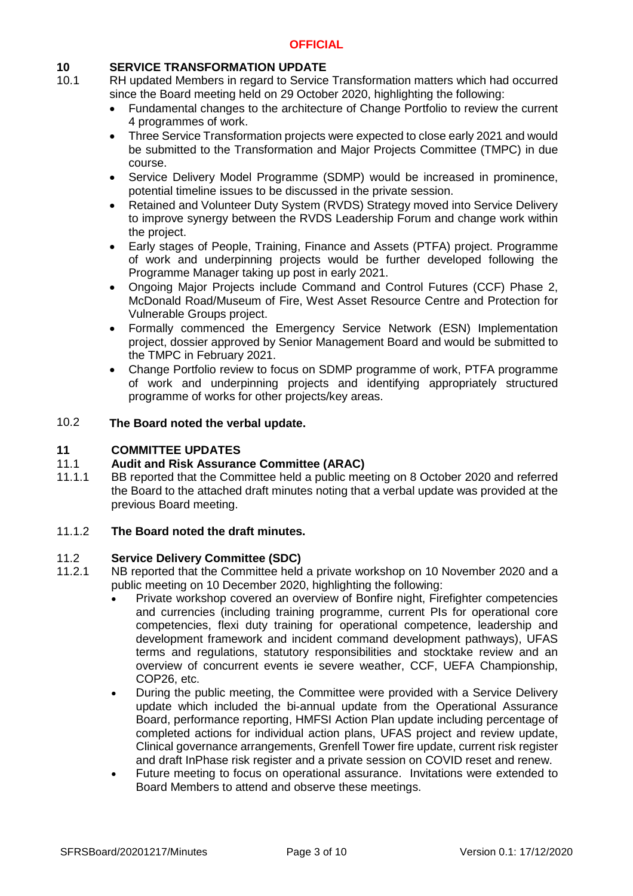# **10 SERVICE TRANSFORMATION UPDATE**

- 10.1 RH updated Members in regard to Service Transformation matters which had occurred since the Board meeting held on 29 October 2020, highlighting the following:
	- Fundamental changes to the architecture of Change Portfolio to review the current 4 programmes of work.
	- Three Service Transformation projects were expected to close early 2021 and would be submitted to the Transformation and Major Projects Committee (TMPC) in due course.
	- Service Delivery Model Programme (SDMP) would be increased in prominence, potential timeline issues to be discussed in the private session.
	- Retained and Volunteer Duty System (RVDS) Strategy moved into Service Delivery to improve synergy between the RVDS Leadership Forum and change work within the project.
	- Early stages of People, Training, Finance and Assets (PTFA) project. Programme of work and underpinning projects would be further developed following the Programme Manager taking up post in early 2021.
	- Ongoing Major Projects include Command and Control Futures (CCF) Phase 2, McDonald Road/Museum of Fire, West Asset Resource Centre and Protection for Vulnerable Groups project.
	- Formally commenced the Emergency Service Network (ESN) Implementation project, dossier approved by Senior Management Board and would be submitted to the TMPC in February 2021.
	- Change Portfolio review to focus on SDMP programme of work, PTFA programme of work and underpinning projects and identifying appropriately structured programme of works for other projects/key areas.

### 10.2 **The Board noted the verbal update.**

# **11 COMMITTEE UPDATES**

### 11.1 **Audit and Risk Assurance Committee (ARAC)**

11.1.1 BB reported that the Committee held a public meeting on 8 October 2020 and referred the Board to the attached draft minutes noting that a verbal update was provided at the previous Board meeting.

#### 11.1.2 **The Board noted the draft minutes.**

#### 11.2 **Service Delivery Committee (SDC)**

- 11.2.1 NB reported that the Committee held a private workshop on 10 November 2020 and a public meeting on 10 December 2020, highlighting the following:
	- Private workshop covered an overview of Bonfire night, Firefighter competencies and currencies (including training programme, current PIs for operational core competencies, flexi duty training for operational competence, leadership and development framework and incident command development pathways), UFAS terms and regulations, statutory responsibilities and stocktake review and an overview of concurrent events ie severe weather, CCF, UEFA Championship, COP26, etc.
	- During the public meeting, the Committee were provided with a Service Delivery update which included the bi-annual update from the Operational Assurance Board, performance reporting, HMFSI Action Plan update including percentage of completed actions for individual action plans, UFAS project and review update, Clinical governance arrangements, Grenfell Tower fire update, current risk register and draft InPhase risk register and a private session on COVID reset and renew.
	- Future meeting to focus on operational assurance. Invitations were extended to Board Members to attend and observe these meetings.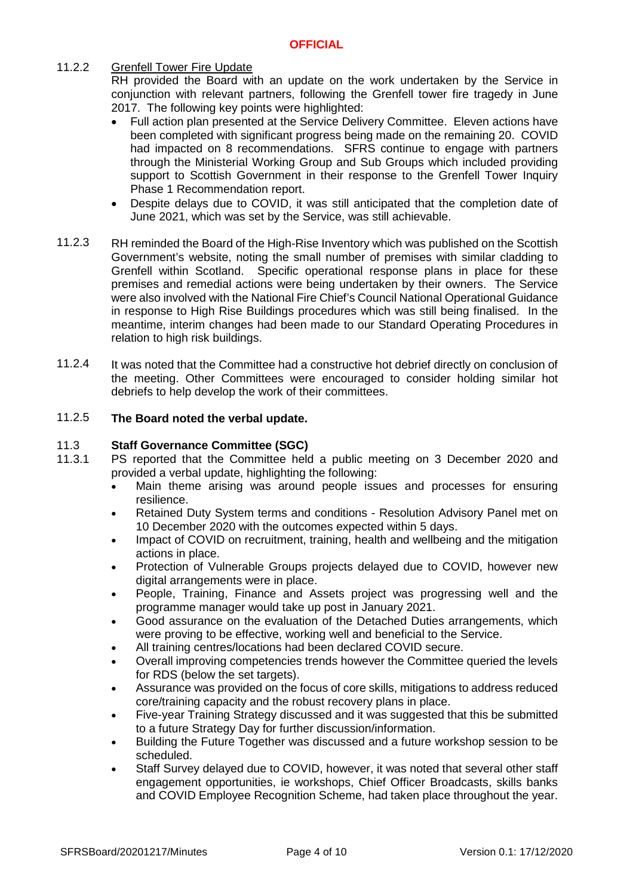### 11.2.2 Grenfell Tower Fire Update

RH provided the Board with an update on the work undertaken by the Service in conjunction with relevant partners, following the Grenfell tower fire tragedy in June 2017. The following key points were highlighted:

- Full action plan presented at the Service Delivery Committee. Eleven actions have been completed with significant progress being made on the remaining 20. COVID had impacted on 8 recommendations. SFRS continue to engage with partners through the Ministerial Working Group and Sub Groups which included providing support to Scottish Government in their response to the Grenfell Tower Inquiry Phase 1 Recommendation report.
- Despite delays due to COVID, it was still anticipated that the completion date of June 2021, which was set by the Service, was still achievable.
- 11.2.3 RH reminded the Board of the High-Rise Inventory which was published on the Scottish Government's website, noting the small number of premises with similar cladding to Grenfell within Scotland. Specific operational response plans in place for these premises and remedial actions were being undertaken by their owners. The Service were also involved with the National Fire Chief's Council National Operational Guidance in response to High Rise Buildings procedures which was still being finalised. In the meantime, interim changes had been made to our Standard Operating Procedures in relation to high risk buildings.
- 11.2.4 It was noted that the Committee had a constructive hot debrief directly on conclusion of the meeting. Other Committees were encouraged to consider holding similar hot debriefs to help develop the work of their committees.

### 11.2.5 **The Board noted the verbal update.**

#### 11.3 **Staff Governance Committee (SGC)**

- 11.3.1 PS reported that the Committee held a public meeting on 3 December 2020 and provided a verbal update, highlighting the following:
	- Main theme arising was around people issues and processes for ensuring resilience.
	- Retained Duty System terms and conditions Resolution Advisory Panel met on 10 December 2020 with the outcomes expected within 5 days.
	- Impact of COVID on recruitment, training, health and wellbeing and the mitigation actions in place.
	- Protection of Vulnerable Groups projects delayed due to COVID, however new digital arrangements were in place.
	- People, Training, Finance and Assets project was progressing well and the programme manager would take up post in January 2021.
	- Good assurance on the evaluation of the Detached Duties arrangements, which were proving to be effective, working well and beneficial to the Service.
	- All training centres/locations had been declared COVID secure.
	- Overall improving competencies trends however the Committee queried the levels for RDS (below the set targets).
	- Assurance was provided on the focus of core skills, mitigations to address reduced core/training capacity and the robust recovery plans in place.
	- Five-year Training Strategy discussed and it was suggested that this be submitted to a future Strategy Day for further discussion/information.
	- Building the Future Together was discussed and a future workshop session to be scheduled.
	- Staff Survey delayed due to COVID, however, it was noted that several other staff engagement opportunities, ie workshops, Chief Officer Broadcasts, skills banks and COVID Employee Recognition Scheme, had taken place throughout the year.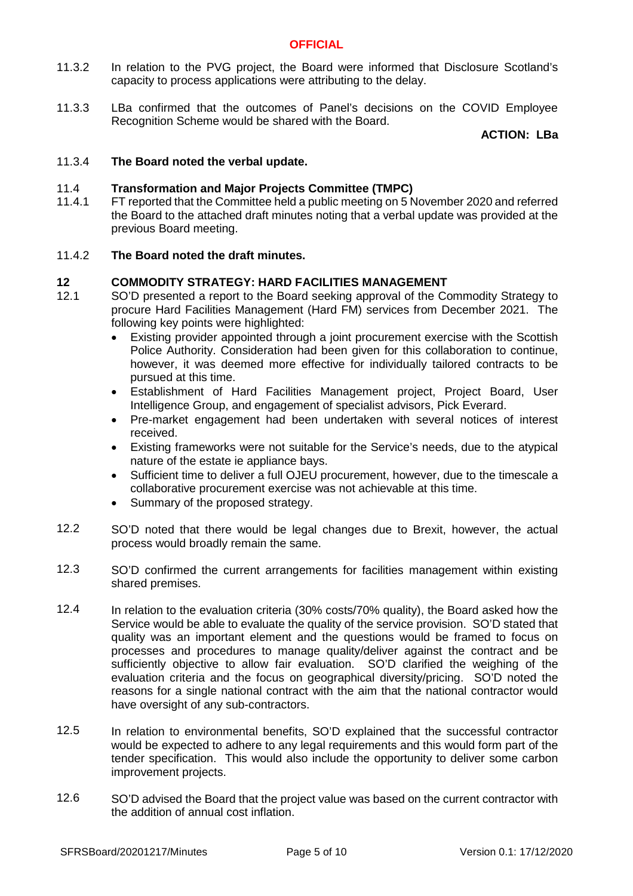- 11.3.2 In relation to the PVG project, the Board were informed that Disclosure Scotland's capacity to process applications were attributing to the delay.
- 11.3.3 LBa confirmed that the outcomes of Panel's decisions on the COVID Employee Recognition Scheme would be shared with the Board.

**ACTION: LBa**

#### 11.3.4 **The Board noted the verbal update.**

#### 11.4 **Transformation and Major Projects Committee (TMPC)**

11.4.1 FT reported that the Committee held a public meeting on 5 November 2020 and referred the Board to the attached draft minutes noting that a verbal update was provided at the previous Board meeting.

#### 11.4.2 **The Board noted the draft minutes.**

### **12 COMMODITY STRATEGY: HARD FACILITIES MANAGEMENT**

- 12.1 SO'D presented a report to the Board seeking approval of the Commodity Strategy to procure Hard Facilities Management (Hard FM) services from December 2021. The following key points were highlighted:
	- Existing provider appointed through a joint procurement exercise with the Scottish Police Authority. Consideration had been given for this collaboration to continue, however, it was deemed more effective for individually tailored contracts to be pursued at this time.
	- Establishment of Hard Facilities Management project, Project Board, User Intelligence Group, and engagement of specialist advisors, Pick Everard.
	- Pre-market engagement had been undertaken with several notices of interest received.
	- Existing frameworks were not suitable for the Service's needs, due to the atypical nature of the estate ie appliance bays.
	- Sufficient time to deliver a full OJEU procurement, however, due to the timescale a collaborative procurement exercise was not achievable at this time.
	- Summary of the proposed strategy.
- 12.2 SO'D noted that there would be legal changes due to Brexit, however, the actual process would broadly remain the same.
- 12.3 SO'D confirmed the current arrangements for facilities management within existing shared premises.
- 12.4 In relation to the evaluation criteria (30% costs/70% quality), the Board asked how the Service would be able to evaluate the quality of the service provision. SO'D stated that quality was an important element and the questions would be framed to focus on processes and procedures to manage quality/deliver against the contract and be sufficiently objective to allow fair evaluation. SO'D clarified the weighing of the evaluation criteria and the focus on geographical diversity/pricing. SO'D noted the reasons for a single national contract with the aim that the national contractor would have oversight of any sub-contractors.
- 12.5 In relation to environmental benefits, SO'D explained that the successful contractor would be expected to adhere to any legal requirements and this would form part of the tender specification. This would also include the opportunity to deliver some carbon improvement projects.
- 12.6 SO'D advised the Board that the project value was based on the current contractor with the addition of annual cost inflation.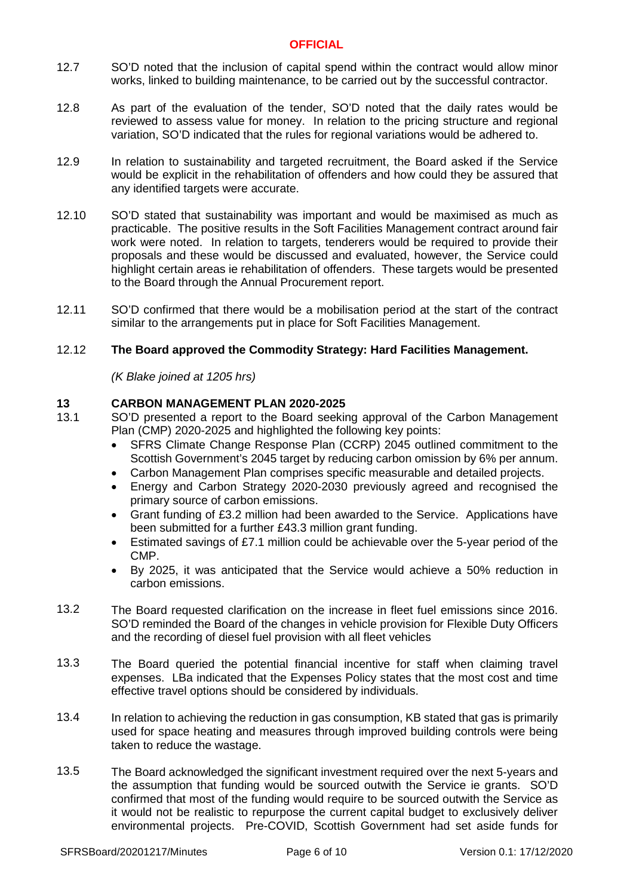- 12.7 SO'D noted that the inclusion of capital spend within the contract would allow minor works, linked to building maintenance, to be carried out by the successful contractor.
- 12.8 As part of the evaluation of the tender, SO'D noted that the daily rates would be reviewed to assess value for money. In relation to the pricing structure and regional variation, SO'D indicated that the rules for regional variations would be adhered to.
- 12.9 In relation to sustainability and targeted recruitment, the Board asked if the Service would be explicit in the rehabilitation of offenders and how could they be assured that any identified targets were accurate.
- 12.10 SO'D stated that sustainability was important and would be maximised as much as practicable. The positive results in the Soft Facilities Management contract around fair work were noted. In relation to targets, tenderers would be required to provide their proposals and these would be discussed and evaluated, however, the Service could highlight certain areas ie rehabilitation of offenders. These targets would be presented to the Board through the Annual Procurement report.
- 12.11 SO'D confirmed that there would be a mobilisation period at the start of the contract similar to the arrangements put in place for Soft Facilities Management.

### 12.12 **The Board approved the Commodity Strategy: Hard Facilities Management.**

*(K Blake joined at 1205 hrs)*

## **13 CARBON MANAGEMENT PLAN 2020-2025**

- 13.1 SO'D presented a report to the Board seeking approval of the Carbon Management Plan (CMP) 2020-2025 and highlighted the following key points:
	- SFRS Climate Change Response Plan (CCRP) 2045 outlined commitment to the Scottish Government's 2045 target by reducing carbon omission by 6% per annum.
	- Carbon Management Plan comprises specific measurable and detailed projects.
	- Energy and Carbon Strategy 2020-2030 previously agreed and recognised the primary source of carbon emissions.
	- Grant funding of £3.2 million had been awarded to the Service. Applications have been submitted for a further £43.3 million grant funding.
	- Estimated savings of £7.1 million could be achievable over the 5-year period of the CMP.
	- By 2025, it was anticipated that the Service would achieve a 50% reduction in carbon emissions.
- 13.2 The Board requested clarification on the increase in fleet fuel emissions since 2016. SO'D reminded the Board of the changes in vehicle provision for Flexible Duty Officers and the recording of diesel fuel provision with all fleet vehicles
- 13.3 The Board queried the potential financial incentive for staff when claiming travel expenses. LBa indicated that the Expenses Policy states that the most cost and time effective travel options should be considered by individuals.
- 13.4 In relation to achieving the reduction in gas consumption, KB stated that gas is primarily used for space heating and measures through improved building controls were being taken to reduce the wastage.
- 13.5 The Board acknowledged the significant investment required over the next 5-years and the assumption that funding would be sourced outwith the Service ie grants. SO'D confirmed that most of the funding would require to be sourced outwith the Service as it would not be realistic to repurpose the current capital budget to exclusively deliver environmental projects. Pre-COVID, Scottish Government had set aside funds for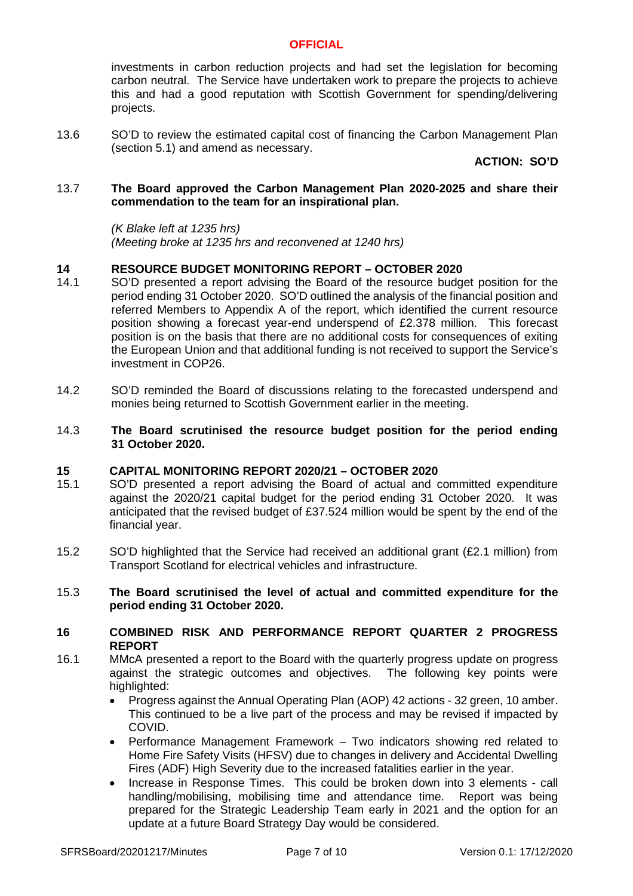investments in carbon reduction projects and had set the legislation for becoming carbon neutral. The Service have undertaken work to prepare the projects to achieve this and had a good reputation with Scottish Government for spending/delivering projects.

13.6 SO'D to review the estimated capital cost of financing the Carbon Management Plan (section 5.1) and amend as necessary.

**ACTION: SO'D**

### 13.7 **The Board approved the Carbon Management Plan 2020-2025 and share their commendation to the team for an inspirational plan.**

*(K Blake left at 1235 hrs) (Meeting broke at 1235 hrs and reconvened at 1240 hrs)*

# **14 RESOURCE BUDGET MONITORING REPORT – OCTOBER 2020**

- 14.1 SO'D presented a report advising the Board of the resource budget position for the period ending 31 October 2020. SO'D outlined the analysis of the financial position and referred Members to Appendix A of the report, which identified the current resource position showing a forecast year-end underspend of £2.378 million. This forecast position is on the basis that there are no additional costs for consequences of exiting the European Union and that additional funding is not received to support the Service's investment in COP26.
- 14.2 SO'D reminded the Board of discussions relating to the forecasted underspend and monies being returned to Scottish Government earlier in the meeting.
- 14.3 **The Board scrutinised the resource budget position for the period ending 31 October 2020.**

### **15 CAPITAL MONITORING REPORT 2020/21 – OCTOBER 2020**

- 15.1 SO'D presented a report advising the Board of actual and committed expenditure against the 2020/21 capital budget for the period ending 31 October 2020. It was anticipated that the revised budget of £37.524 million would be spent by the end of the financial year.
- 15.2 SO'D highlighted that the Service had received an additional grant (£2.1 million) from Transport Scotland for electrical vehicles and infrastructure.

### 15.3 **The Board scrutinised the level of actual and committed expenditure for the period ending 31 October 2020.**

### **16 COMBINED RISK AND PERFORMANCE REPORT QUARTER 2 PROGRESS REPORT**

- 16.1 MMcA presented a report to the Board with the quarterly progress update on progress against the strategic outcomes and objectives. The following key points were highlighted:
	- Progress against the Annual Operating Plan (AOP) 42 actions 32 green, 10 amber. This continued to be a live part of the process and may be revised if impacted by COVID.
	- Performance Management Framework Two indicators showing red related to Home Fire Safety Visits (HFSV) due to changes in delivery and Accidental Dwelling Fires (ADF) High Severity due to the increased fatalities earlier in the year.
	- Increase in Response Times. This could be broken down into 3 elements call handling/mobilising, mobilising time and attendance time. Report was being prepared for the Strategic Leadership Team early in 2021 and the option for an update at a future Board Strategy Day would be considered.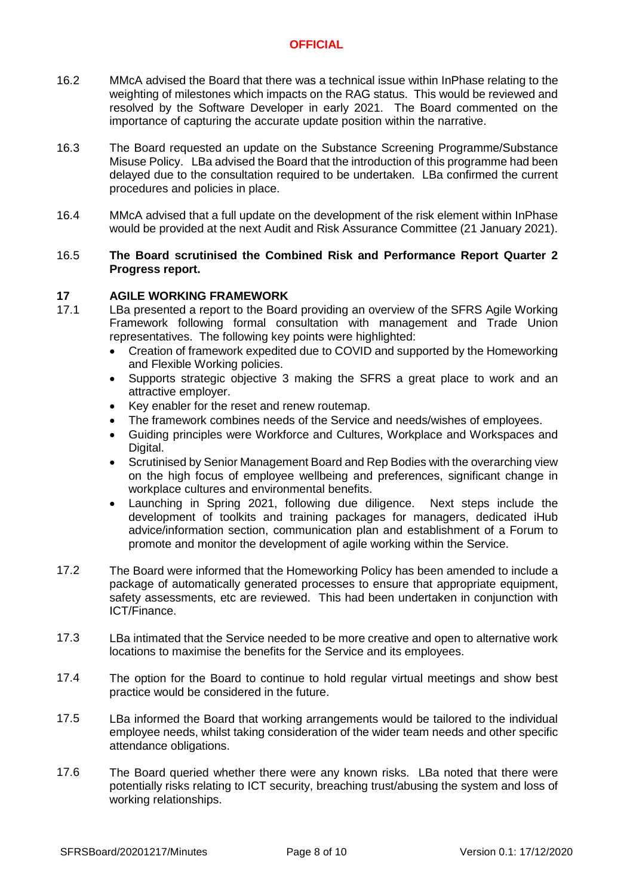- 16.2 MMcA advised the Board that there was a technical issue within InPhase relating to the weighting of milestones which impacts on the RAG status. This would be reviewed and resolved by the Software Developer in early 2021. The Board commented on the importance of capturing the accurate update position within the narrative.
- 16.3 The Board requested an update on the Substance Screening Programme/Substance Misuse Policy. LBa advised the Board that the introduction of this programme had been delayed due to the consultation required to be undertaken. LBa confirmed the current procedures and policies in place.
- 16.4 MMcA advised that a full update on the development of the risk element within InPhase would be provided at the next Audit and Risk Assurance Committee (21 January 2021).

### 16.5 **The Board scrutinised the Combined Risk and Performance Report Quarter 2 Progress report.**

## **17 AGILE WORKING FRAMEWORK**

- 17.1 LBa presented a report to the Board providing an overview of the SFRS Agile Working Framework following formal consultation with management and Trade Union representatives. The following key points were highlighted:
	- Creation of framework expedited due to COVID and supported by the Homeworking and Flexible Working policies.
	- Supports strategic objective 3 making the SFRS a great place to work and an attractive employer.
	- Key enabler for the reset and renew routemap.
	- The framework combines needs of the Service and needs/wishes of employees.
	- Guiding principles were Workforce and Cultures, Workplace and Workspaces and Digital.
	- Scrutinised by Senior Management Board and Rep Bodies with the overarching view on the high focus of employee wellbeing and preferences, significant change in workplace cultures and environmental benefits.
	- Launching in Spring 2021, following due diligence. Next steps include the development of toolkits and training packages for managers, dedicated iHub advice/information section, communication plan and establishment of a Forum to promote and monitor the development of agile working within the Service.
- 17.2 The Board were informed that the Homeworking Policy has been amended to include a package of automatically generated processes to ensure that appropriate equipment, safety assessments, etc are reviewed. This had been undertaken in conjunction with ICT/Finance.
- 17.3 LBa intimated that the Service needed to be more creative and open to alternative work locations to maximise the benefits for the Service and its employees.
- 17.4 The option for the Board to continue to hold regular virtual meetings and show best practice would be considered in the future.
- 17.5 LBa informed the Board that working arrangements would be tailored to the individual employee needs, whilst taking consideration of the wider team needs and other specific attendance obligations.
- 17.6 The Board queried whether there were any known risks. LBa noted that there were potentially risks relating to ICT security, breaching trust/abusing the system and loss of working relationships.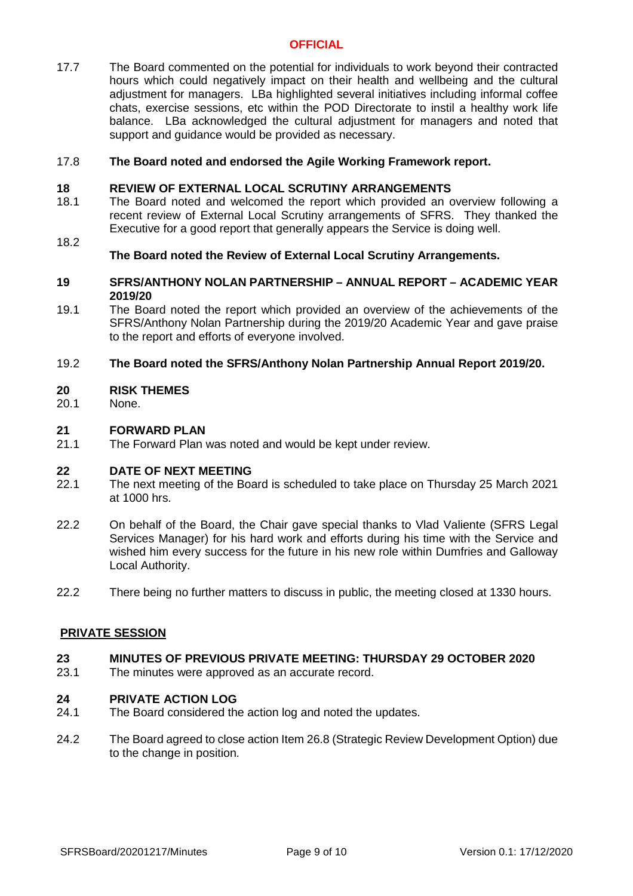17.7 The Board commented on the potential for individuals to work beyond their contracted hours which could negatively impact on their health and wellbeing and the cultural adjustment for managers. LBa highlighted several initiatives including informal coffee chats, exercise sessions, etc within the POD Directorate to instil a healthy work life balance. LBa acknowledged the cultural adjustment for managers and noted that support and guidance would be provided as necessary.

#### 17.8 **The Board noted and endorsed the Agile Working Framework report.**

### **18 REVIEW OF EXTERNAL LOCAL SCRUTINY ARRANGEMENTS**

- 18.1 The Board noted and welcomed the report which provided an overview following a recent review of External Local Scrutiny arrangements of SFRS. They thanked the Executive for a good report that generally appears the Service is doing well.
- 18.2

## **The Board noted the Review of External Local Scrutiny Arrangements.**

### **19 SFRS/ANTHONY NOLAN PARTNERSHIP – ANNUAL REPORT – ACADEMIC YEAR 2019/20**

19.1 The Board noted the report which provided an overview of the achievements of the SFRS/Anthony Nolan Partnership during the 2019/20 Academic Year and gave praise to the report and efforts of everyone involved.

#### 19.2 **The Board noted the SFRS/Anthony Nolan Partnership Annual Report 2019/20.**

### **20 RISK THEMES**

20.1 None.

### **21 FORWARD PLAN**

21.1 The Forward Plan was noted and would be kept under review.

# **22 DATE OF NEXT MEETING**

- 22.1 The next meeting of the Board is scheduled to take place on Thursday 25 March 2021 at 1000 hrs.
- 22.2 On behalf of the Board, the Chair gave special thanks to Vlad Valiente (SFRS Legal Services Manager) for his hard work and efforts during his time with the Service and wished him every success for the future in his new role within Dumfries and Galloway Local Authority.
- 22.2 There being no further matters to discuss in public, the meeting closed at 1330 hours.

### **PRIVATE SESSION**

#### **23 MINUTES OF PREVIOUS PRIVATE MEETING: THURSDAY 29 OCTOBER 2020**

23.1 The minutes were approved as an accurate record.

### **24 PRIVATE ACTION LOG**

- 24.1 The Board considered the action log and noted the updates.
- 24.2 The Board agreed to close action Item 26.8 (Strategic Review Development Option) due to the change in position.